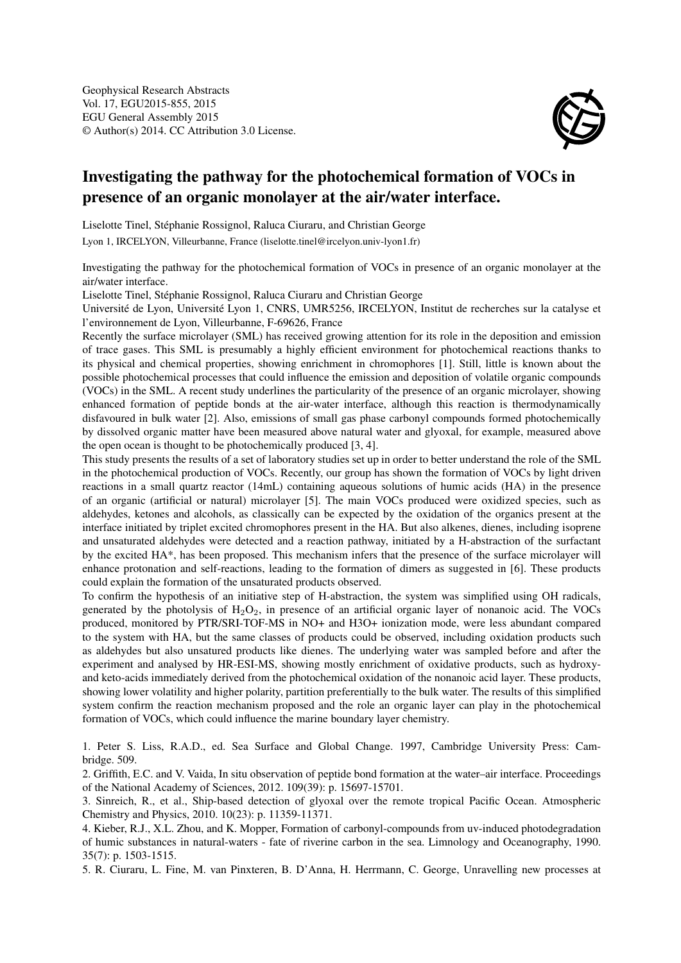

## Investigating the pathway for the photochemical formation of VOCs in presence of an organic monolayer at the air/water interface.

Liselotte Tinel, Stéphanie Rossignol, Raluca Ciuraru, and Christian George

Lyon 1, IRCELYON, Villeurbanne, France (liselotte.tinel@ircelyon.univ-lyon1.fr)

Investigating the pathway for the photochemical formation of VOCs in presence of an organic monolayer at the air/water interface.

Liselotte Tinel, Stéphanie Rossignol, Raluca Ciuraru and Christian George

Université de Lyon, Université Lyon 1, CNRS, UMR5256, IRCELYON, Institut de recherches sur la catalyse et l'environnement de Lyon, Villeurbanne, F-69626, France

Recently the surface microlayer (SML) has received growing attention for its role in the deposition and emission of trace gases. This SML is presumably a highly efficient environment for photochemical reactions thanks to its physical and chemical properties, showing enrichment in chromophores [1]. Still, little is known about the possible photochemical processes that could influence the emission and deposition of volatile organic compounds (VOCs) in the SML. A recent study underlines the particularity of the presence of an organic microlayer, showing enhanced formation of peptide bonds at the air-water interface, although this reaction is thermodynamically disfavoured in bulk water [2]. Also, emissions of small gas phase carbonyl compounds formed photochemically by dissolved organic matter have been measured above natural water and glyoxal, for example, measured above the open ocean is thought to be photochemically produced [3, 4].

This study presents the results of a set of laboratory studies set up in order to better understand the role of the SML in the photochemical production of VOCs. Recently, our group has shown the formation of VOCs by light driven reactions in a small quartz reactor (14mL) containing aqueous solutions of humic acids (HA) in the presence of an organic (artificial or natural) microlayer [5]. The main VOCs produced were oxidized species, such as aldehydes, ketones and alcohols, as classically can be expected by the oxidation of the organics present at the interface initiated by triplet excited chromophores present in the HA. But also alkenes, dienes, including isoprene and unsaturated aldehydes were detected and a reaction pathway, initiated by a H-abstraction of the surfactant by the excited HA\*, has been proposed. This mechanism infers that the presence of the surface microlayer will enhance protonation and self-reactions, leading to the formation of dimers as suggested in [6]. These products could explain the formation of the unsaturated products observed.

To confirm the hypothesis of an initiative step of H-abstraction, the system was simplified using OH radicals, generated by the photolysis of  $H_2O_2$ , in presence of an artificial organic layer of nonanoic acid. The VOCs produced, monitored by PTR/SRI-TOF-MS in NO+ and H3O+ ionization mode, were less abundant compared to the system with HA, but the same classes of products could be observed, including oxidation products such as aldehydes but also unsatured products like dienes. The underlying water was sampled before and after the experiment and analysed by HR-ESI-MS, showing mostly enrichment of oxidative products, such as hydroxyand keto-acids immediately derived from the photochemical oxidation of the nonanoic acid layer. These products, showing lower volatility and higher polarity, partition preferentially to the bulk water. The results of this simplified system confirm the reaction mechanism proposed and the role an organic layer can play in the photochemical formation of VOCs, which could influence the marine boundary layer chemistry.

1. Peter S. Liss, R.A.D., ed. Sea Surface and Global Change. 1997, Cambridge University Press: Cambridge. 509.

2. Griffith, E.C. and V. Vaida, In situ observation of peptide bond formation at the water–air interface. Proceedings of the National Academy of Sciences, 2012. 109(39): p. 15697-15701.

3. Sinreich, R., et al., Ship-based detection of glyoxal over the remote tropical Pacific Ocean. Atmospheric Chemistry and Physics, 2010. 10(23): p. 11359-11371.

4. Kieber, R.J., X.L. Zhou, and K. Mopper, Formation of carbonyl-compounds from uv-induced photodegradation of humic substances in natural-waters - fate of riverine carbon in the sea. Limnology and Oceanography, 1990. 35(7): p. 1503-1515.

5. R. Ciuraru, L. Fine, M. van Pinxteren, B. D'Anna, H. Herrmann, C. George, Unravelling new processes at